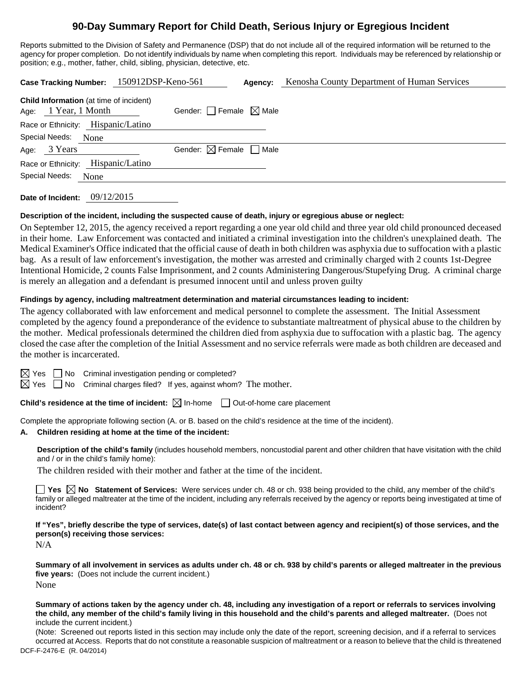# **90-Day Summary Report for Child Death, Serious Injury or Egregious Incident**

Reports submitted to the Division of Safety and Permanence (DSP) that do not include all of the required information will be returned to the agency for proper completion. Do not identify individuals by name when completing this report. Individuals may be referenced by relationship or position; e.g., mother, father, child, sibling, physician, detective, etc.

| <b>Child Information</b> (at time of incident)<br>Gender: $\Box$ Female $\boxtimes$ Male<br>Age: 1 Year, 1 Month |  |
|------------------------------------------------------------------------------------------------------------------|--|
| Race or Ethnicity: Hispanic/Latino                                                                               |  |
| Special Needs:<br>None                                                                                           |  |
| Gender: $\boxtimes$ Female $\Box$ Male<br>Age: 3 Years                                                           |  |
| Race or Ethnicity: Hispanic/Latino                                                                               |  |
| Special Needs:<br>None                                                                                           |  |

**Date of Incident:** 09/12/2015

#### **Description of the incident, including the suspected cause of death, injury or egregious abuse or neglect:**

On September 12, 2015, the agency received a report regarding a one year old child and three year old child pronounced deceased in their home. Law Enforcement was contacted and initiated a criminal investigation into the children's unexplained death. The Medical Examiner's Office indicated that the official cause of death in both children was asphyxia due to suffocation with a plastic bag. As a result of law enforcement's investigation, the mother was arrested and criminally charged with 2 counts 1st-Degree Intentional Homicide, 2 counts False Imprisonment, and 2 counts Administering Dangerous/Stupefying Drug. A criminal charge is merely an allegation and a defendant is presumed innocent until and unless proven guilty

### **Findings by agency, including maltreatment determination and material circumstances leading to incident:**

The agency collaborated with law enforcement and medical personnel to complete the assessment. The Initial Assessment completed by the agency found a preponderance of the evidence to substantiate maltreatment of physical abuse to the children by the mother. Medical professionals determined the children died from asphyxia due to suffocation with a plastic bag. The agency closed the case after the completion of the Initial Assessment and no service referrals were made as both children are deceased and the mother is incarcerated.

 $\Box$  No Criminal investigation pending or completed?

 $\Box$  No Criminal charges filed? If yes, against whom? The mother.

**Child's residence at the time of incident:**  $\boxtimes$  In-home  $\Box$  Out-of-home care placement

Complete the appropriate following section (A. or B. based on the child's residence at the time of the incident).

#### **A. Children residing at home at the time of the incident:**

**Description of the child's family** (includes household members, noncustodial parent and other children that have visitation with the child and / or in the child's family home):

The children resided with their mother and father at the time of the incident.

**Yes No Statement of Services:** Were services under ch. 48 or ch. 938 being provided to the child, any member of the child's family or alleged maltreater at the time of the incident, including any referrals received by the agency or reports being investigated at time of incident?

**If "Yes", briefly describe the type of services, date(s) of last contact between agency and recipient(s) of those services, and the person(s) receiving those services:** 

N/A

**Summary of all involvement in services as adults under ch. 48 or ch. 938 by child's parents or alleged maltreater in the previous five years:** (Does not include the current incident.) None

**Summary of actions taken by the agency under ch. 48, including any investigation of a report or referrals to services involving the child, any member of the child's family living in this household and the child's parents and alleged maltreater.** (Does not include the current incident.)

DCF-F-2476-E (R. 04/2014) (Note: Screened out reports listed in this section may include only the date of the report, screening decision, and if a referral to services occurred at Access. Reports that do not constitute a reasonable suspicion of maltreatment or a reason to believe that the child is threatened